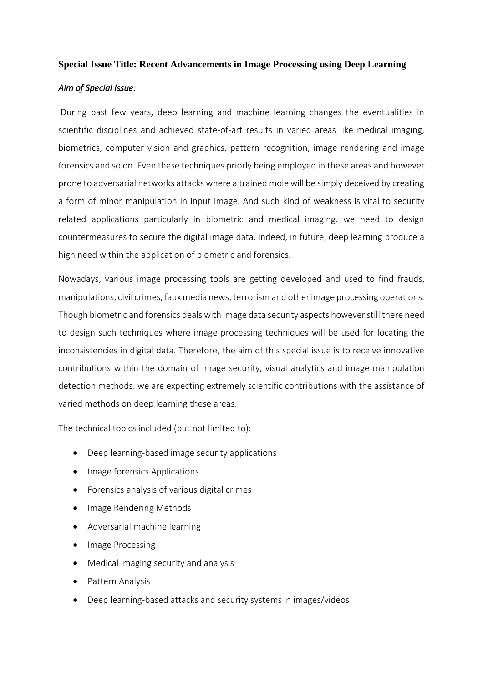#### **Special Issue Title: Recent Advancements in Image Processing using Deep Learning**

#### *Aim of Special Issue:*

During past few years, deep learning and machine learning changes the eventualities in scientific disciplines and achieved state-of-art results in varied areas like medical imaging, biometrics, computer vision and graphics, pattern recognition, image rendering and image forensics and so on. Even these techniques priorly being employed in these areas and however prone to adversarial networks attacks where a trained mole will be simply deceived by creating a form of minor manipulation in input image. And such kind of weakness is vital to security related applications particularly in biometric and medical imaging. we need to design countermeasures to secure the digital image data. Indeed, in future, deep learning produce a high need within the application of biometric and forensics.

Nowadays, various image processing tools are getting developed and used to find frauds, manipulations, civil crimes, faux media news, terrorism and other image processing operations. Though biometric and forensics deals with image data security aspects however still there need to design such techniques where image processing techniques will be used for locating the inconsistencies in digital data. Therefore, the aim of this special issue is to receive innovative contributions within the domain of image security, visual analytics and image manipulation detection methods. we are expecting extremely scientific contributions with the assistance of varied methods on deep learning these areas.

The technical topics included (but not limited to):

- Deep learning-based image security applications
- Image forensics Applications
- Forensics analysis of various digital crimes
- Image Rendering Methods
- Adversarial machine learning
- Image Processing
- Medical imaging security and analysis
- Pattern Analysis
- Deep learning-based attacks and security systems in images/videos